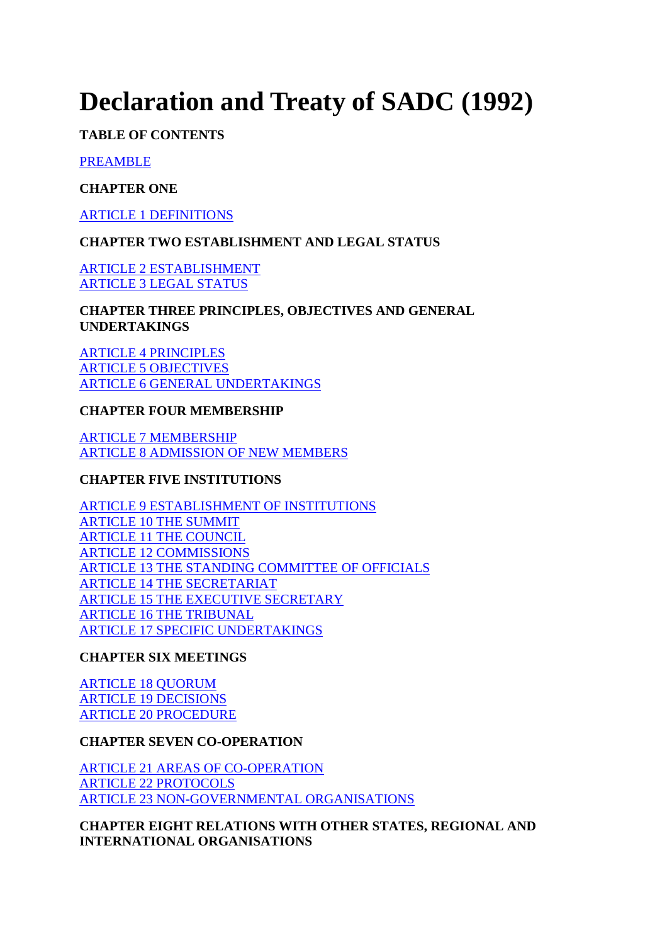# **Declaration and Treaty of SADC (1992)**

**TABLE OF CONTENTS** 

PREAMBLE

## **CHAPTER ONE**

ARTICLE 1 DEFINITIONS

# **CHAPTER TWO ESTABLISHMENT AND LEGAL STATUS**

ARTICLE 2 ESTABLISHMENT ARTICLE 3 LEGAL STATUS

**CHAPTER THREE PRINCIPLES, OBJECTIVES AND GENERAL UNDERTAKINGS** 

ARTICLE 4 PRINCIPLES ARTICLE 5 OBJECTIVES ARTICLE 6 GENERAL UNDERTAKINGS

# **CHAPTER FOUR MEMBERSHIP**

ARTICLE 7 MEMBERSHIP ARTICLE 8 ADMISSION OF NEW MEMBERS

# **CHAPTER FIVE INSTITUTIONS**

ARTICLE 9 ESTABLISHMENT OF INSTITUTIONS ARTICLE 10 THE SUMMIT ARTICLE 11 THE COUNCIL ARTICLE 12 COMMISSIONS ARTICLE 13 THE STANDING COMMITTEE OF OFFICIALS ARTICLE 14 THE SECRETARIAT ARTICLE 15 THE EXECUTIVE SECRETARY ARTICLE 16 THE TRIBUNAL ARTICLE 17 SPECIFIC UNDERTAKINGS

# **CHAPTER SIX MEETINGS**

ARTICLE 18 QUORUM ARTICLE 19 DECISIONS ARTICLE 20 PROCEDURE

## **CHAPTER SEVEN CO-OPERATION**

ARTICLE 21 AREAS OF CO-OPERATION ARTICLE 22 PROTOCOLS ARTICLE 23 NON-GOVERNMENTAL ORGANISATIONS

**CHAPTER EIGHT RELATIONS WITH OTHER STATES, REGIONAL AND INTERNATIONAL ORGANISATIONS**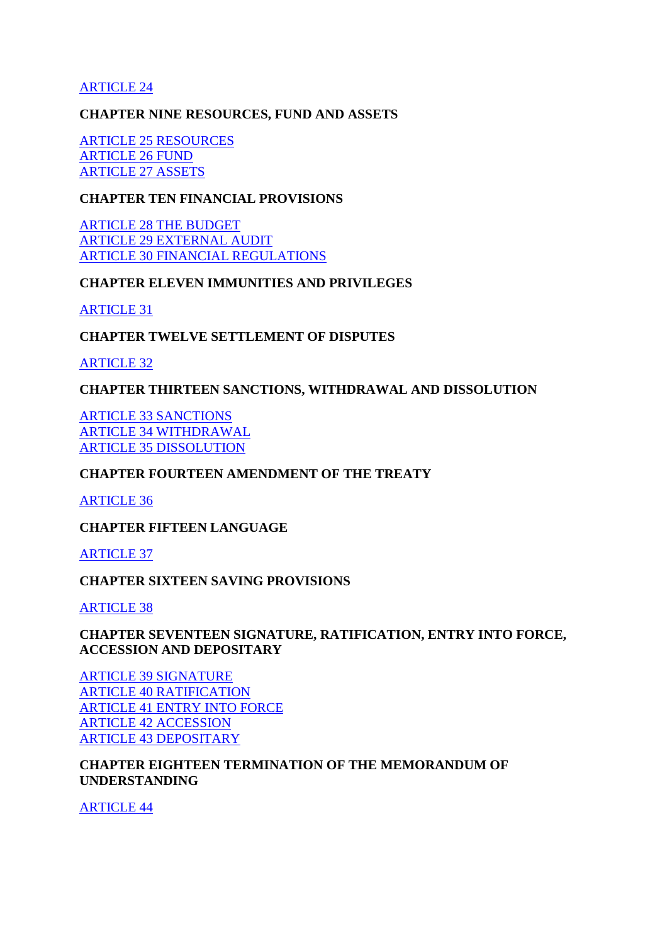#### ARTICLE 24

#### **CHAPTER NINE RESOURCES, FUND AND ASSETS**

ARTICLE 25 RESOURCES ARTICLE 26 FUND ARTICLE 27 ASSETS

#### **CHAPTER TEN FINANCIAL PROVISIONS**

ARTICLE 28 THE BUDGET ARTICLE 29 EXTERNAL AUDIT ARTICLE 30 FINANCIAL REGULATIONS

#### **CHAPTER ELEVEN IMMUNITIES AND PRIVILEGES**

ARTICLE 31

#### **CHAPTER TWELVE SETTLEMENT OF DISPUTES**

ARTICLE 32

#### **CHAPTER THIRTEEN SANCTIONS, WITHDRAWAL AND DISSOLUTION**

ARTICLE 33 SANCTIONS ARTICLE 34 WITHDRAWAL ARTICLE 35 DISSOLUTION

#### **CHAPTER FOURTEEN AMENDMENT OF THE TREATY**

ARTICLE 36

**CHAPTER FIFTEEN LANGUAGE** 

ARTICLE 37

#### **CHAPTER SIXTEEN SAVING PROVISIONS**

ARTICLE 38

#### **CHAPTER SEVENTEEN SIGNATURE, RATIFICATION, ENTRY INTO FORCE, ACCESSION AND DEPOSITARY**

ARTICLE 39 SIGNATURE ARTICLE 40 RATIFICATION ARTICLE 41 ENTRY INTO FORCE ARTICLE 42 ACCESSION ARTICLE 43 DEPOSITARY

#### **CHAPTER EIGHTEEN TERMINATION OF THE MEMORANDUM OF UNDERSTANDING**

ARTICLE 44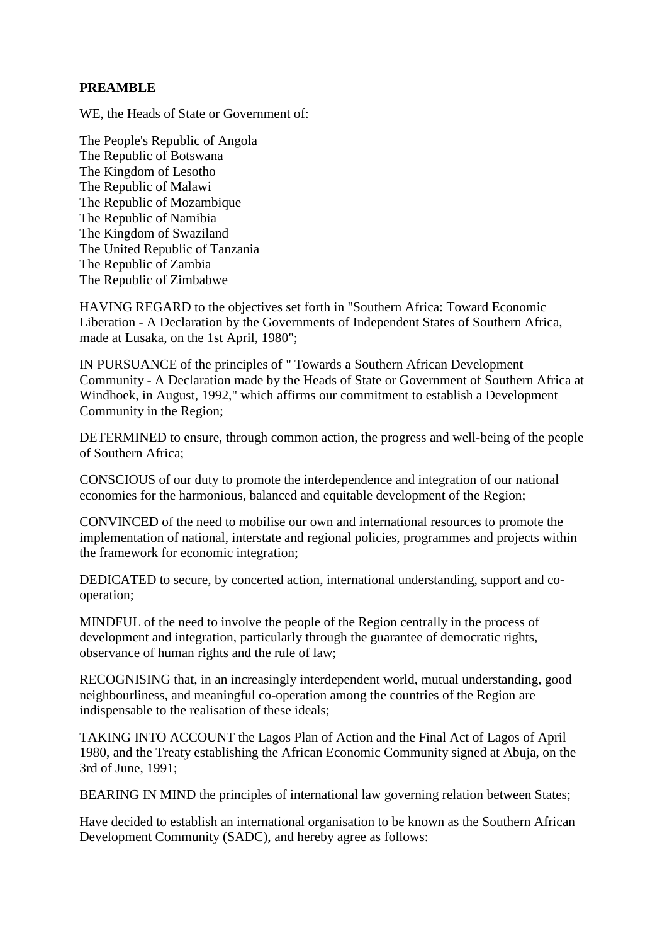## **PREAMBLE**

WE, the Heads of State or Government of:

The People's Republic of Angola The Republic of Botswana The Kingdom of Lesotho The Republic of Malawi The Republic of Mozambique The Republic of Namibia The Kingdom of Swaziland The United Republic of Tanzania The Republic of Zambia The Republic of Zimbabwe

HAVING REGARD to the objectives set forth in "Southern Africa: Toward Economic Liberation - A Declaration by the Governments of Independent States of Southern Africa, made at Lusaka, on the 1st April, 1980";

IN PURSUANCE of the principles of " Towards a Southern African Development Community - A Declaration made by the Heads of State or Government of Southern Africa at Windhoek, in August, 1992," which affirms our commitment to establish a Development Community in the Region;

DETERMINED to ensure, through common action, the progress and well-being of the people of Southern Africa;

CONSCIOUS of our duty to promote the interdependence and integration of our national economies for the harmonious, balanced and equitable development of the Region;

CONVINCED of the need to mobilise our own and international resources to promote the implementation of national, interstate and regional policies, programmes and projects within the framework for economic integration;

DEDICATED to secure, by concerted action, international understanding, support and cooperation;

MINDFUL of the need to involve the people of the Region centrally in the process of development and integration, particularly through the guarantee of democratic rights, observance of human rights and the rule of law;

RECOGNISING that, in an increasingly interdependent world, mutual understanding, good neighbourliness, and meaningful co-operation among the countries of the Region are indispensable to the realisation of these ideals;

TAKING INTO ACCOUNT the Lagos Plan of Action and the Final Act of Lagos of April 1980, and the Treaty establishing the African Economic Community signed at Abuja, on the 3rd of June, 1991;

BEARING IN MIND the principles of international law governing relation between States;

Have decided to establish an international organisation to be known as the Southern African Development Community (SADC), and hereby agree as follows: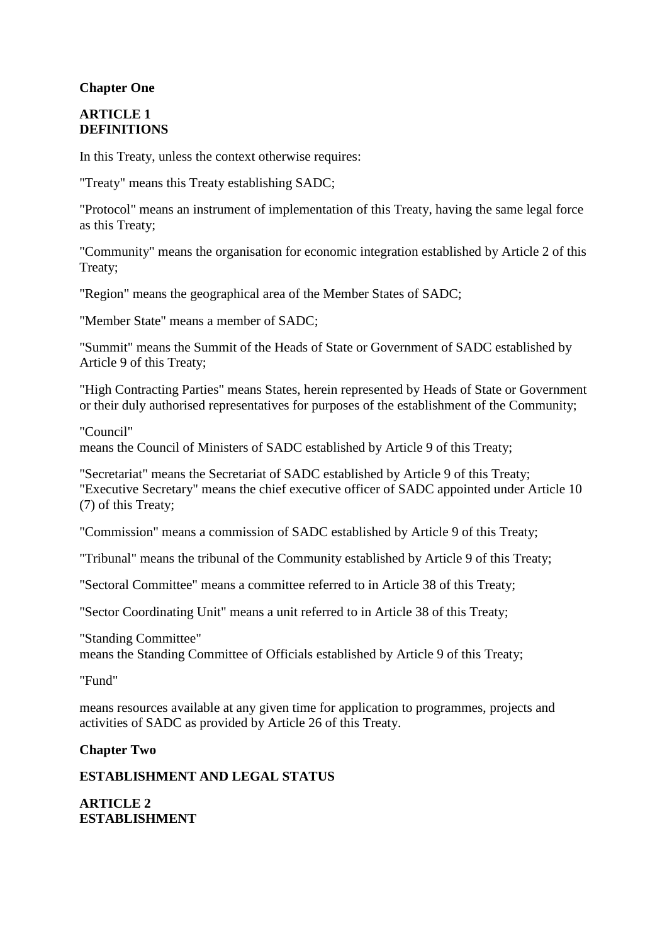## **Chapter One**

#### **ARTICLE 1 DEFINITIONS**

In this Treaty, unless the context otherwise requires:

"Treaty" means this Treaty establishing SADC;

"Protocol" means an instrument of implementation of this Treaty, having the same legal force as this Treaty;

"Community" means the organisation for economic integration established by Article 2 of this Treaty;

"Region" means the geographical area of the Member States of SADC;

"Member State" means a member of SADC;

"Summit" means the Summit of the Heads of State or Government of SADC established by Article 9 of this Treaty;

"High Contracting Parties" means States, herein represented by Heads of State or Government or their duly authorised representatives for purposes of the establishment of the Community;

#### "Council"

means the Council of Ministers of SADC established by Article 9 of this Treaty;

"Secretariat" means the Secretariat of SADC established by Article 9 of this Treaty; "Executive Secretary" means the chief executive officer of SADC appointed under Article 10 (7) of this Treaty;

"Commission" means a commission of SADC established by Article 9 of this Treaty;

"Tribunal" means the tribunal of the Community established by Article 9 of this Treaty;

"Sectoral Committee" means a committee referred to in Article 38 of this Treaty;

"Sector Coordinating Unit" means a unit referred to in Article 38 of this Treaty;

"Standing Committee" means the Standing Committee of Officials established by Article 9 of this Treaty;

"Fund"

means resources available at any given time for application to programmes, projects and activities of SADC as provided by Article 26 of this Treaty.

## **Chapter Two**

## **ESTABLISHMENT AND LEGAL STATUS**

**ARTICLE 2 ESTABLISHMENT**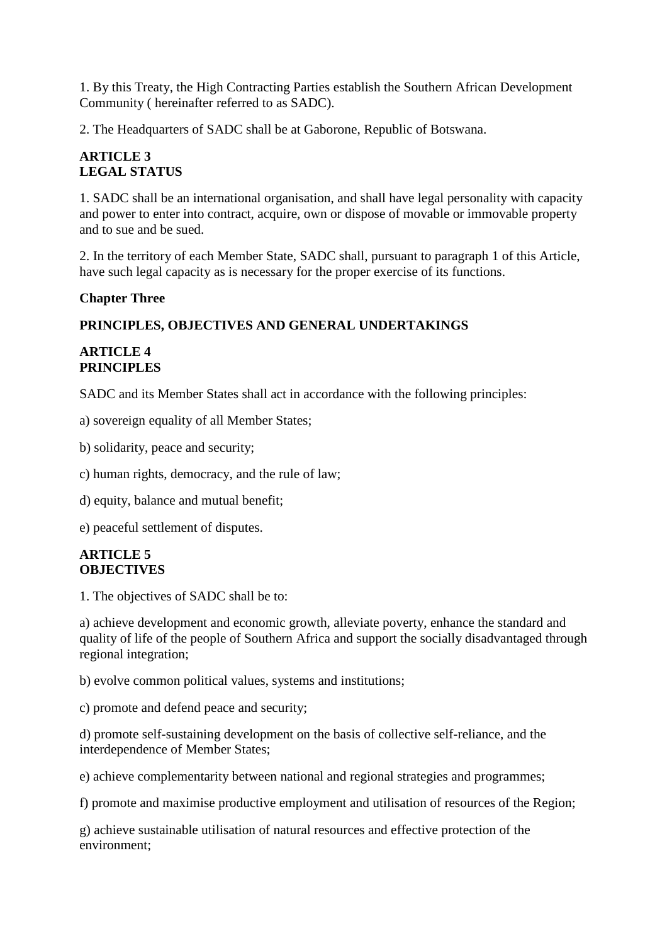1. By this Treaty, the High Contracting Parties establish the Southern African Development Community ( hereinafter referred to as SADC).

2. The Headquarters of SADC shall be at Gaborone, Republic of Botswana.

# **ARTICLE 3 LEGAL STATUS**

1. SADC shall be an international organisation, and shall have legal personality with capacity and power to enter into contract, acquire, own or dispose of movable or immovable property and to sue and be sued.

2. In the territory of each Member State, SADC shall, pursuant to paragraph 1 of this Article, have such legal capacity as is necessary for the proper exercise of its functions.

#### **Chapter Three**

## **PRINCIPLES, OBJECTIVES AND GENERAL UNDERTAKINGS**

#### **ARTICLE 4 PRINCIPLES**

SADC and its Member States shall act in accordance with the following principles:

a) sovereign equality of all Member States;

b) solidarity, peace and security;

c) human rights, democracy, and the rule of law;

d) equity, balance and mutual benefit;

e) peaceful settlement of disputes.

#### **ARTICLE 5 OBJECTIVES**

1. The objectives of SADC shall be to:

a) achieve development and economic growth, alleviate poverty, enhance the standard and quality of life of the people of Southern Africa and support the socially disadvantaged through regional integration;

b) evolve common political values, systems and institutions;

c) promote and defend peace and security;

d) promote self-sustaining development on the basis of collective self-reliance, and the interdependence of Member States;

e) achieve complementarity between national and regional strategies and programmes;

f) promote and maximise productive employment and utilisation of resources of the Region;

g) achieve sustainable utilisation of natural resources and effective protection of the environment;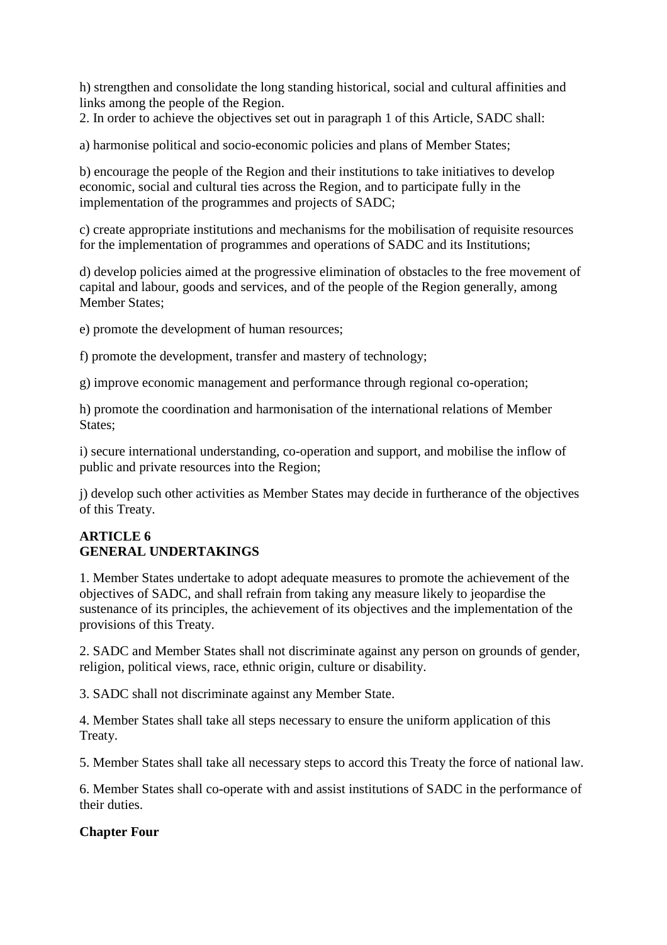h) strengthen and consolidate the long standing historical, social and cultural affinities and links among the people of the Region.

2. In order to achieve the objectives set out in paragraph 1 of this Article, SADC shall:

a) harmonise political and socio-economic policies and plans of Member States;

b) encourage the people of the Region and their institutions to take initiatives to develop economic, social and cultural ties across the Region, and to participate fully in the implementation of the programmes and projects of SADC;

c) create appropriate institutions and mechanisms for the mobilisation of requisite resources for the implementation of programmes and operations of SADC and its Institutions;

d) develop policies aimed at the progressive elimination of obstacles to the free movement of capital and labour, goods and services, and of the people of the Region generally, among Member States;

e) promote the development of human resources;

f) promote the development, transfer and mastery of technology;

g) improve economic management and performance through regional co-operation;

h) promote the coordination and harmonisation of the international relations of Member States;

i) secure international understanding, co-operation and support, and mobilise the inflow of public and private resources into the Region;

j) develop such other activities as Member States may decide in furtherance of the objectives of this Treaty.

## **ARTICLE 6 GENERAL UNDERTAKINGS**

1. Member States undertake to adopt adequate measures to promote the achievement of the objectives of SADC, and shall refrain from taking any measure likely to jeopardise the sustenance of its principles, the achievement of its objectives and the implementation of the provisions of this Treaty.

2. SADC and Member States shall not discriminate against any person on grounds of gender, religion, political views, race, ethnic origin, culture or disability.

3. SADC shall not discriminate against any Member State.

4. Member States shall take all steps necessary to ensure the uniform application of this Treaty.

5. Member States shall take all necessary steps to accord this Treaty the force of national law.

6. Member States shall co-operate with and assist institutions of SADC in the performance of their duties.

#### **Chapter Four**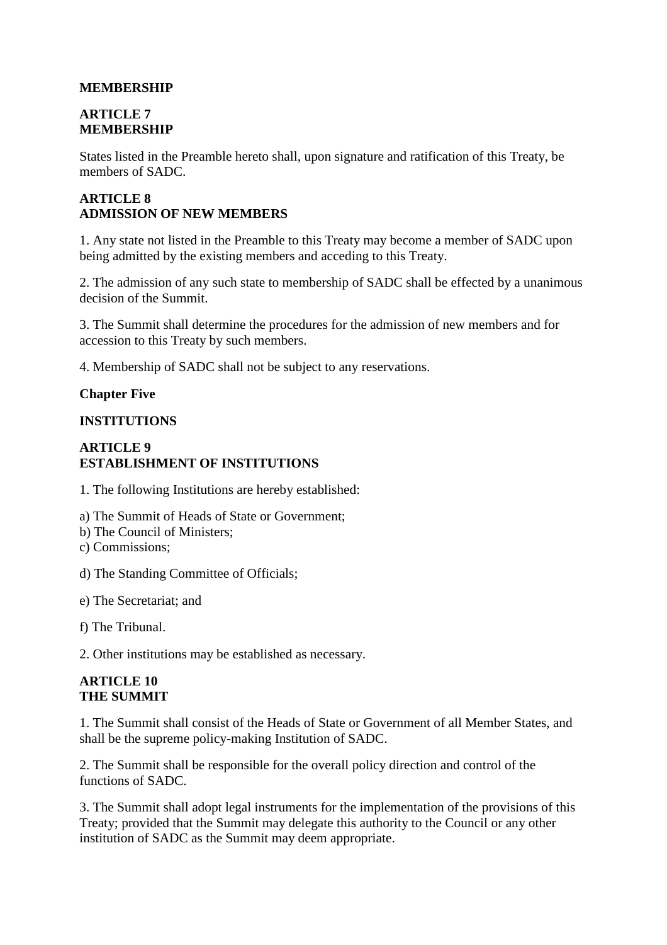## **MEMBERSHIP**

## **ARTICLE 7 MEMBERSHIP**

States listed in the Preamble hereto shall, upon signature and ratification of this Treaty, be members of SADC.

# **ARTICLE 8 ADMISSION OF NEW MEMBERS**

1. Any state not listed in the Preamble to this Treaty may become a member of SADC upon being admitted by the existing members and acceding to this Treaty.

2. The admission of any such state to membership of SADC shall be effected by a unanimous decision of the Summit.

3. The Summit shall determine the procedures for the admission of new members and for accession to this Treaty by such members.

4. Membership of SADC shall not be subject to any reservations.

#### **Chapter Five**

## **INSTITUTIONS**

## **ARTICLE 9 ESTABLISHMENT OF INSTITUTIONS**

1. The following Institutions are hereby established:

a) The Summit of Heads of State or Government;

- b) The Council of Ministers;
- c) Commissions;
- d) The Standing Committee of Officials;
- e) The Secretariat; and
- f) The Tribunal.

2. Other institutions may be established as necessary.

#### **ARTICLE 10 THE SUMMIT**

1. The Summit shall consist of the Heads of State or Government of all Member States, and shall be the supreme policy-making Institution of SADC.

2. The Summit shall be responsible for the overall policy direction and control of the functions of SADC.

3. The Summit shall adopt legal instruments for the implementation of the provisions of this Treaty; provided that the Summit may delegate this authority to the Council or any other institution of SADC as the Summit may deem appropriate.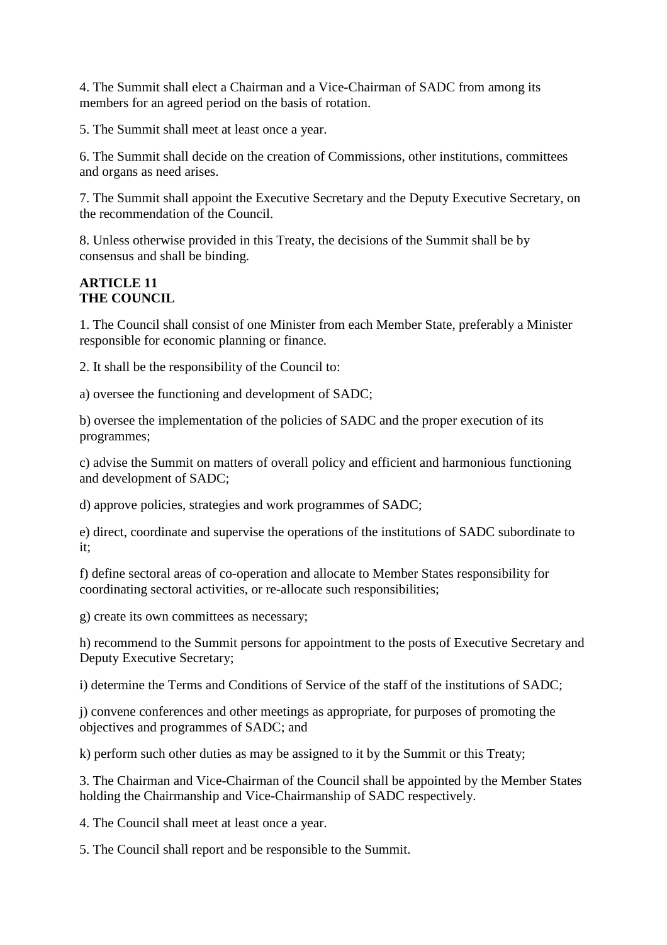4. The Summit shall elect a Chairman and a Vice-Chairman of SADC from among its members for an agreed period on the basis of rotation.

5. The Summit shall meet at least once a year.

6. The Summit shall decide on the creation of Commissions, other institutions, committees and organs as need arises.

7. The Summit shall appoint the Executive Secretary and the Deputy Executive Secretary, on the recommendation of the Council.

8. Unless otherwise provided in this Treaty, the decisions of the Summit shall be by consensus and shall be binding.

#### **ARTICLE 11 THE COUNCIL**

1. The Council shall consist of one Minister from each Member State, preferably a Minister responsible for economic planning or finance.

2. It shall be the responsibility of the Council to:

a) oversee the functioning and development of SADC;

b) oversee the implementation of the policies of SADC and the proper execution of its programmes;

c) advise the Summit on matters of overall policy and efficient and harmonious functioning and development of SADC;

d) approve policies, strategies and work programmes of SADC;

e) direct, coordinate and supervise the operations of the institutions of SADC subordinate to it;

f) define sectoral areas of co-operation and allocate to Member States responsibility for coordinating sectoral activities, or re-allocate such responsibilities;

g) create its own committees as necessary;

h) recommend to the Summit persons for appointment to the posts of Executive Secretary and Deputy Executive Secretary;

i) determine the Terms and Conditions of Service of the staff of the institutions of SADC;

j) convene conferences and other meetings as appropriate, for purposes of promoting the objectives and programmes of SADC; and

k) perform such other duties as may be assigned to it by the Summit or this Treaty;

3. The Chairman and Vice-Chairman of the Council shall be appointed by the Member States holding the Chairmanship and Vice-Chairmanship of SADC respectively.

4. The Council shall meet at least once a year.

5. The Council shall report and be responsible to the Summit.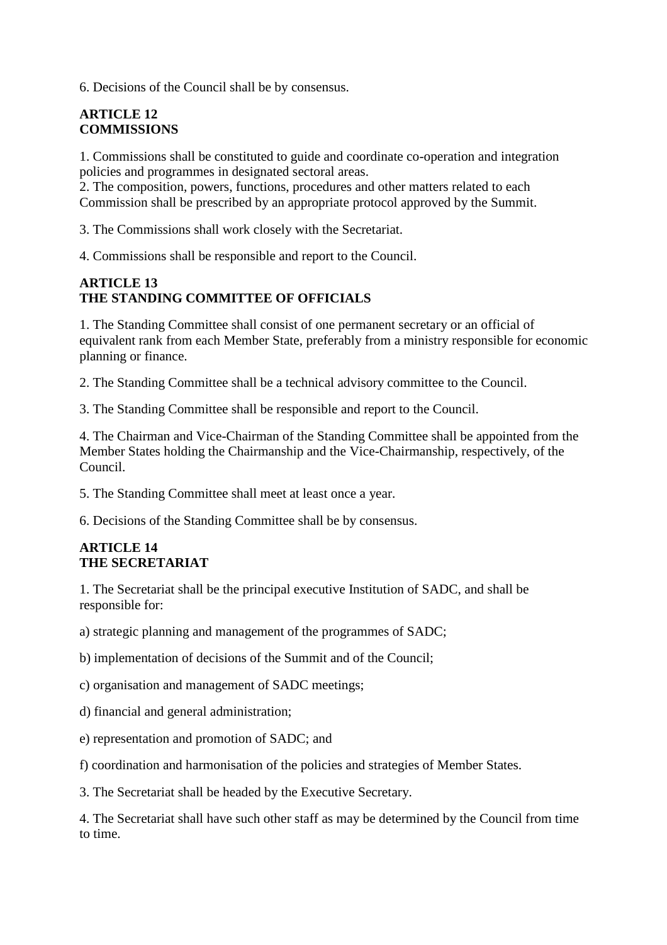6. Decisions of the Council shall be by consensus.

## **ARTICLE 12 COMMISSIONS**

1. Commissions shall be constituted to guide and coordinate co-operation and integration policies and programmes in designated sectoral areas.

2. The composition, powers, functions, procedures and other matters related to each Commission shall be prescribed by an appropriate protocol approved by the Summit.

3. The Commissions shall work closely with the Secretariat.

4. Commissions shall be responsible and report to the Council.

#### **ARTICLE 13 THE STANDING COMMITTEE OF OFFICIALS**

1. The Standing Committee shall consist of one permanent secretary or an official of equivalent rank from each Member State, preferably from a ministry responsible for economic planning or finance.

2. The Standing Committee shall be a technical advisory committee to the Council.

3. The Standing Committee shall be responsible and report to the Council.

4. The Chairman and Vice-Chairman of the Standing Committee shall be appointed from the Member States holding the Chairmanship and the Vice-Chairmanship, respectively, of the Council.

5. The Standing Committee shall meet at least once a year.

6. Decisions of the Standing Committee shall be by consensus.

#### **ARTICLE 14 THE SECRETARIAT**

1. The Secretariat shall be the principal executive Institution of SADC, and shall be responsible for:

a) strategic planning and management of the programmes of SADC;

b) implementation of decisions of the Summit and of the Council;

c) organisation and management of SADC meetings;

d) financial and general administration;

e) representation and promotion of SADC; and

f) coordination and harmonisation of the policies and strategies of Member States.

3. The Secretariat shall be headed by the Executive Secretary.

4. The Secretariat shall have such other staff as may be determined by the Council from time to time.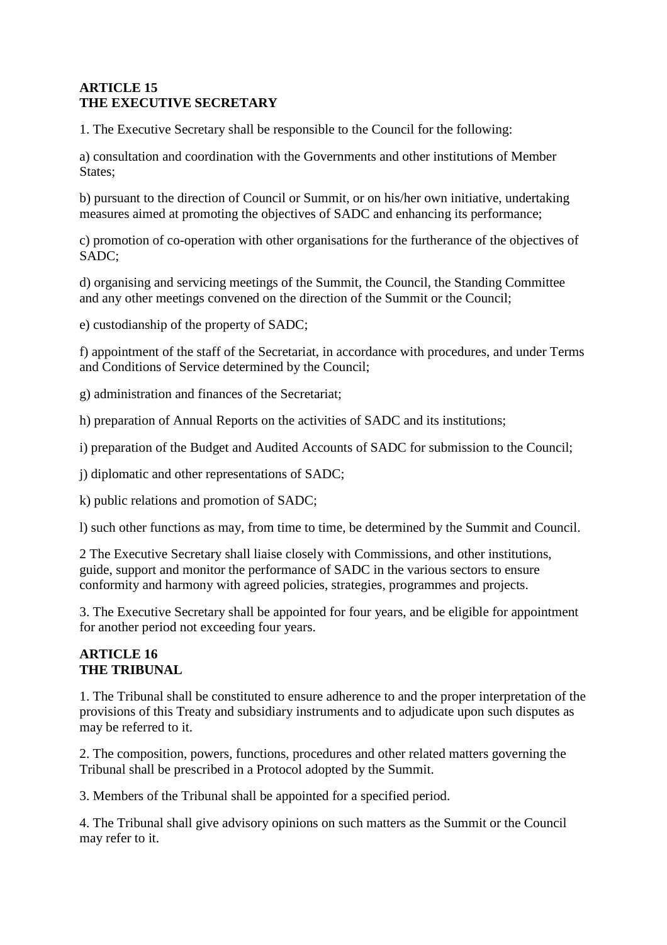# **ARTICLE 15 THE EXECUTIVE SECRETARY**

1. The Executive Secretary shall be responsible to the Council for the following:

a) consultation and coordination with the Governments and other institutions of Member States;

b) pursuant to the direction of Council or Summit, or on his/her own initiative, undertaking measures aimed at promoting the objectives of SADC and enhancing its performance;

c) promotion of co-operation with other organisations for the furtherance of the objectives of SADC;

d) organising and servicing meetings of the Summit, the Council, the Standing Committee and any other meetings convened on the direction of the Summit or the Council;

e) custodianship of the property of SADC;

f) appointment of the staff of the Secretariat, in accordance with procedures, and under Terms and Conditions of Service determined by the Council;

g) administration and finances of the Secretariat;

h) preparation of Annual Reports on the activities of SADC and its institutions;

i) preparation of the Budget and Audited Accounts of SADC for submission to the Council;

j) diplomatic and other representations of SADC;

k) public relations and promotion of SADC;

l) such other functions as may, from time to time, be determined by the Summit and Council.

2 The Executive Secretary shall liaise closely with Commissions, and other institutions, guide, support and monitor the performance of SADC in the various sectors to ensure conformity and harmony with agreed policies, strategies, programmes and projects.

3. The Executive Secretary shall be appointed for four years, and be eligible for appointment for another period not exceeding four years.

## **ARTICLE 16 THE TRIBUNAL**

1. The Tribunal shall be constituted to ensure adherence to and the proper interpretation of the provisions of this Treaty and subsidiary instruments and to adjudicate upon such disputes as may be referred to it.

2. The composition, powers, functions, procedures and other related matters governing the Tribunal shall be prescribed in a Protocol adopted by the Summit.

3. Members of the Tribunal shall be appointed for a specified period.

4. The Tribunal shall give advisory opinions on such matters as the Summit or the Council may refer to it.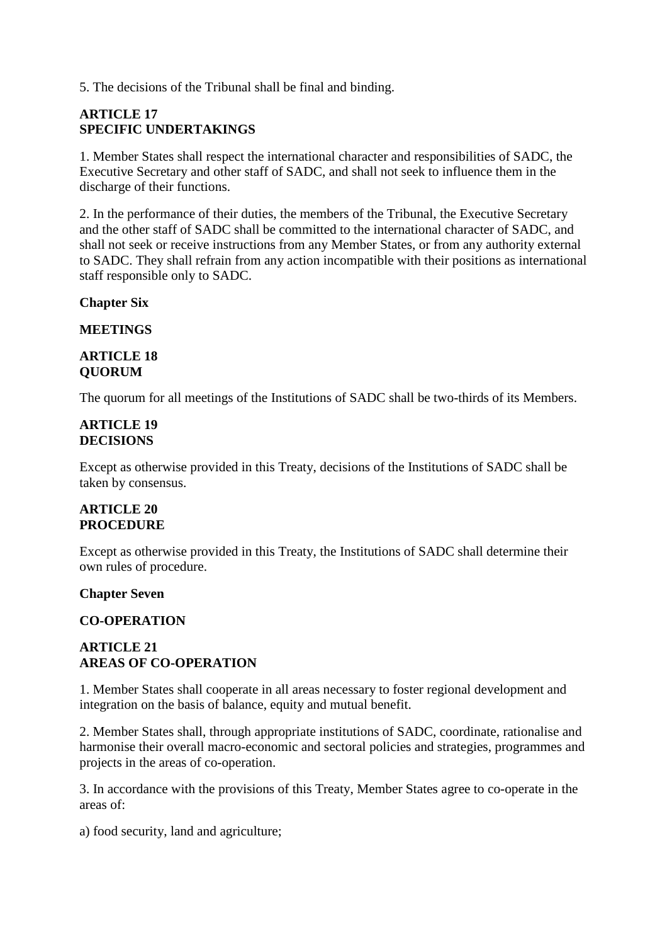5. The decisions of the Tribunal shall be final and binding.

## **ARTICLE 17 SPECIFIC UNDERTAKINGS**

1. Member States shall respect the international character and responsibilities of SADC, the Executive Secretary and other staff of SADC, and shall not seek to influence them in the discharge of their functions.

2. In the performance of their duties, the members of the Tribunal, the Executive Secretary and the other staff of SADC shall be committed to the international character of SADC, and shall not seek or receive instructions from any Member States, or from any authority external to SADC. They shall refrain from any action incompatible with their positions as international staff responsible only to SADC.

**Chapter Six** 

**MEETINGS** 

#### **ARTICLE 18 QUORUM**

The quorum for all meetings of the Institutions of SADC shall be two-thirds of its Members.

#### **ARTICLE 19 DECISIONS**

Except as otherwise provided in this Treaty, decisions of the Institutions of SADC shall be taken by consensus.

#### **ARTICLE 20 PROCEDURE**

Except as otherwise provided in this Treaty, the Institutions of SADC shall determine their own rules of procedure.

## **Chapter Seven**

## **CO-OPERATION**

## **ARTICLE 21 AREAS OF CO-OPERATION**

1. Member States shall cooperate in all areas necessary to foster regional development and integration on the basis of balance, equity and mutual benefit.

2. Member States shall, through appropriate institutions of SADC, coordinate, rationalise and harmonise their overall macro-economic and sectoral policies and strategies, programmes and projects in the areas of co-operation.

3. In accordance with the provisions of this Treaty, Member States agree to co-operate in the areas of:

a) food security, land and agriculture;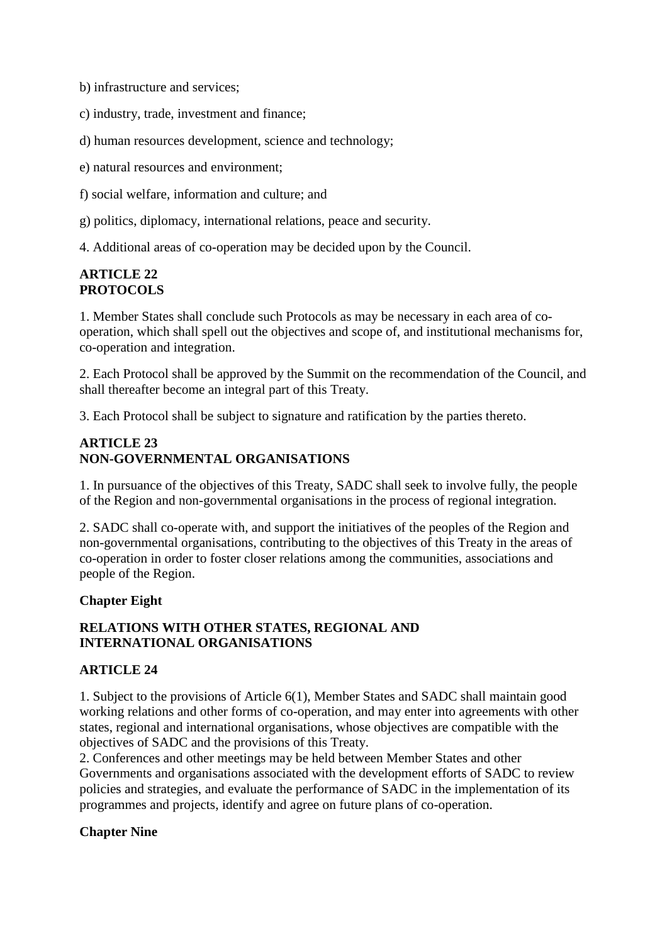b) infrastructure and services;

c) industry, trade, investment and finance;

d) human resources development, science and technology;

e) natural resources and environment;

f) social welfare, information and culture; and

g) politics, diplomacy, international relations, peace and security.

4. Additional areas of co-operation may be decided upon by the Council.

## **ARTICLE 22 PROTOCOLS**

1. Member States shall conclude such Protocols as may be necessary in each area of cooperation, which shall spell out the objectives and scope of, and institutional mechanisms for, co-operation and integration.

2. Each Protocol shall be approved by the Summit on the recommendation of the Council, and shall thereafter become an integral part of this Treaty.

3. Each Protocol shall be subject to signature and ratification by the parties thereto.

## **ARTICLE 23 NON-GOVERNMENTAL ORGANISATIONS**

1. In pursuance of the objectives of this Treaty, SADC shall seek to involve fully, the people of the Region and non-governmental organisations in the process of regional integration.

2. SADC shall co-operate with, and support the initiatives of the peoples of the Region and non-governmental organisations, contributing to the objectives of this Treaty in the areas of co-operation in order to foster closer relations among the communities, associations and people of the Region.

# **Chapter Eight**

# **RELATIONS WITH OTHER STATES, REGIONAL AND INTERNATIONAL ORGANISATIONS**

## **ARTICLE 24**

1. Subject to the provisions of Article 6(1), Member States and SADC shall maintain good working relations and other forms of co-operation, and may enter into agreements with other states, regional and international organisations, whose objectives are compatible with the objectives of SADC and the provisions of this Treaty.

2. Conferences and other meetings may be held between Member States and other Governments and organisations associated with the development efforts of SADC to review policies and strategies, and evaluate the performance of SADC in the implementation of its programmes and projects, identify and agree on future plans of co-operation.

## **Chapter Nine**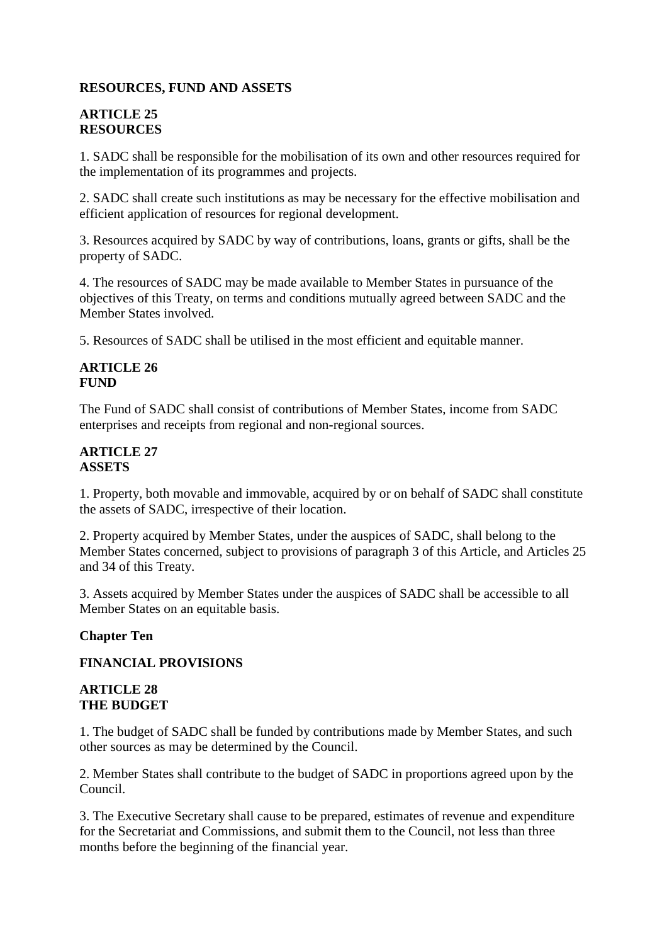## **RESOURCES, FUND AND ASSETS**

## **ARTICLE 25 RESOURCES**

1. SADC shall be responsible for the mobilisation of its own and other resources required for the implementation of its programmes and projects.

2. SADC shall create such institutions as may be necessary for the effective mobilisation and efficient application of resources for regional development.

3. Resources acquired by SADC by way of contributions, loans, grants or gifts, shall be the property of SADC.

4. The resources of SADC may be made available to Member States in pursuance of the objectives of this Treaty, on terms and conditions mutually agreed between SADC and the Member States involved.

5. Resources of SADC shall be utilised in the most efficient and equitable manner.

## **ARTICLE 26 FUND**

The Fund of SADC shall consist of contributions of Member States, income from SADC enterprises and receipts from regional and non-regional sources.

#### **ARTICLE 27 ASSETS**

1. Property, both movable and immovable, acquired by or on behalf of SADC shall constitute the assets of SADC, irrespective of their location.

2. Property acquired by Member States, under the auspices of SADC, shall belong to the Member States concerned, subject to provisions of paragraph 3 of this Article, and Articles 25 and 34 of this Treaty.

3. Assets acquired by Member States under the auspices of SADC shall be accessible to all Member States on an equitable basis.

## **Chapter Ten**

## **FINANCIAL PROVISIONS**

#### **ARTICLE 28 THE BUDGET**

1. The budget of SADC shall be funded by contributions made by Member States, and such other sources as may be determined by the Council.

2. Member States shall contribute to the budget of SADC in proportions agreed upon by the Council.

3. The Executive Secretary shall cause to be prepared, estimates of revenue and expenditure for the Secretariat and Commissions, and submit them to the Council, not less than three months before the beginning of the financial year.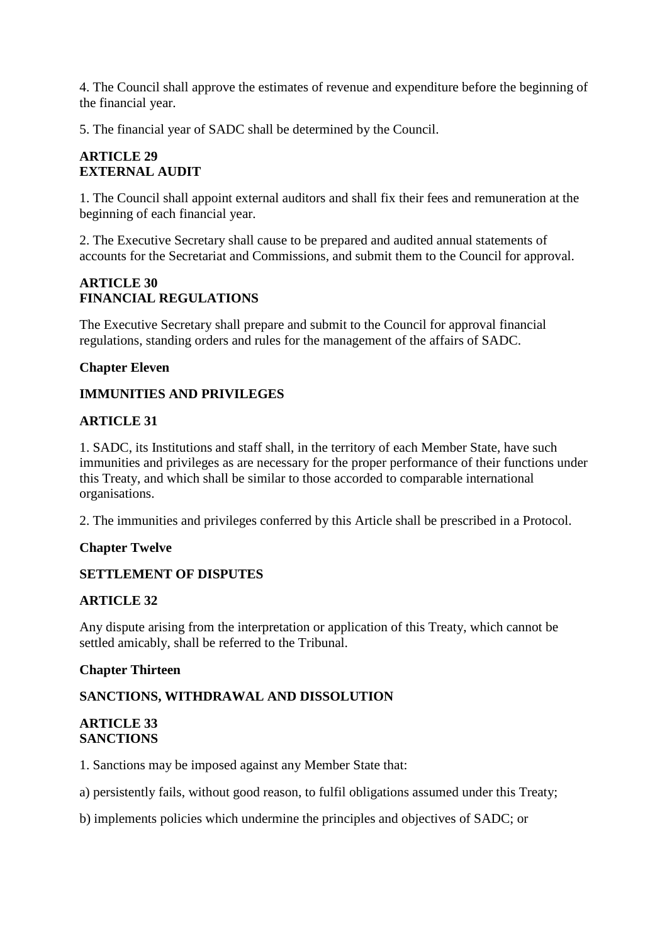4. The Council shall approve the estimates of revenue and expenditure before the beginning of the financial year.

5. The financial year of SADC shall be determined by the Council.

# **ARTICLE 29 EXTERNAL AUDIT**

1. The Council shall appoint external auditors and shall fix their fees and remuneration at the beginning of each financial year.

2. The Executive Secretary shall cause to be prepared and audited annual statements of accounts for the Secretariat and Commissions, and submit them to the Council for approval.

## **ARTICLE 30 FINANCIAL REGULATIONS**

The Executive Secretary shall prepare and submit to the Council for approval financial regulations, standing orders and rules for the management of the affairs of SADC.

## **Chapter Eleven**

## **IMMUNITIES AND PRIVILEGES**

#### **ARTICLE 31**

1. SADC, its Institutions and staff shall, in the territory of each Member State, have such immunities and privileges as are necessary for the proper performance of their functions under this Treaty, and which shall be similar to those accorded to comparable international organisations.

2. The immunities and privileges conferred by this Article shall be prescribed in a Protocol.

## **Chapter Twelve**

## **SETTLEMENT OF DISPUTES**

## **ARTICLE 32**

Any dispute arising from the interpretation or application of this Treaty, which cannot be settled amicably, shall be referred to the Tribunal.

#### **Chapter Thirteen**

## **SANCTIONS, WITHDRAWAL AND DISSOLUTION**

#### **ARTICLE 33 SANCTIONS**

1. Sanctions may be imposed against any Member State that:

a) persistently fails, without good reason, to fulfil obligations assumed under this Treaty;

b) implements policies which undermine the principles and objectives of SADC; or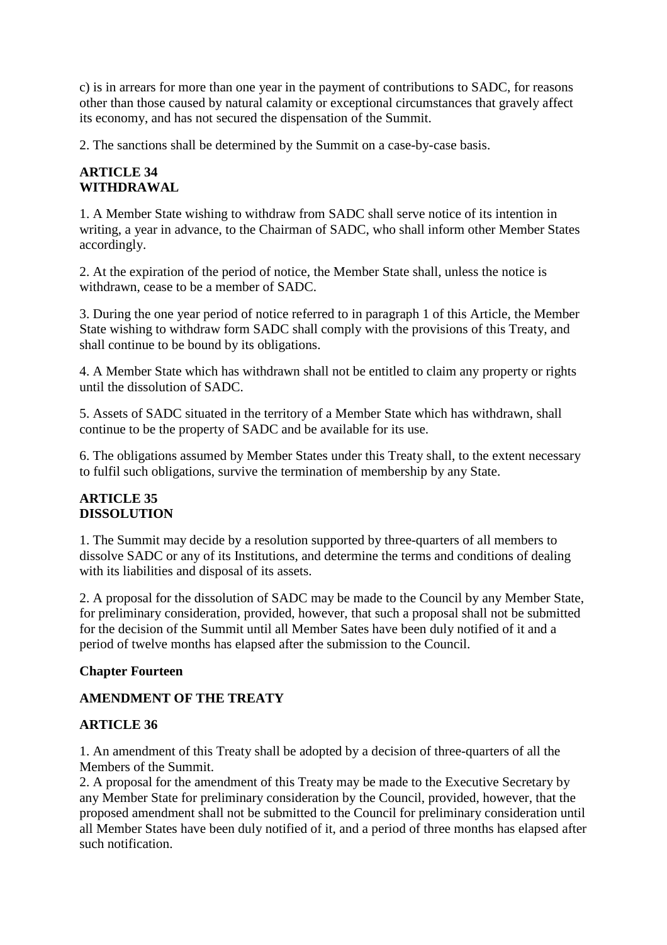c) is in arrears for more than one year in the payment of contributions to SADC, for reasons other than those caused by natural calamity or exceptional circumstances that gravely affect its economy, and has not secured the dispensation of the Summit.

2. The sanctions shall be determined by the Summit on a case-by-case basis.

## **ARTICLE 34 WITHDRAWAL**

1. A Member State wishing to withdraw from SADC shall serve notice of its intention in writing, a year in advance, to the Chairman of SADC, who shall inform other Member States accordingly.

2. At the expiration of the period of notice, the Member State shall, unless the notice is withdrawn, cease to be a member of SADC.

3. During the one year period of notice referred to in paragraph 1 of this Article, the Member State wishing to withdraw form SADC shall comply with the provisions of this Treaty, and shall continue to be bound by its obligations.

4. A Member State which has withdrawn shall not be entitled to claim any property or rights until the dissolution of SADC.

5. Assets of SADC situated in the territory of a Member State which has withdrawn, shall continue to be the property of SADC and be available for its use.

6. The obligations assumed by Member States under this Treaty shall, to the extent necessary to fulfil such obligations, survive the termination of membership by any State.

## **ARTICLE 35 DISSOLUTION**

1. The Summit may decide by a resolution supported by three-quarters of all members to dissolve SADC or any of its Institutions, and determine the terms and conditions of dealing with its liabilities and disposal of its assets.

2. A proposal for the dissolution of SADC may be made to the Council by any Member State, for preliminary consideration, provided, however, that such a proposal shall not be submitted for the decision of the Summit until all Member Sates have been duly notified of it and a period of twelve months has elapsed after the submission to the Council.

## **Chapter Fourteen**

## **AMENDMENT OF THE TREATY**

# **ARTICLE 36**

1. An amendment of this Treaty shall be adopted by a decision of three-quarters of all the Members of the Summit.

2. A proposal for the amendment of this Treaty may be made to the Executive Secretary by any Member State for preliminary consideration by the Council, provided, however, that the proposed amendment shall not be submitted to the Council for preliminary consideration until all Member States have been duly notified of it, and a period of three months has elapsed after such notification.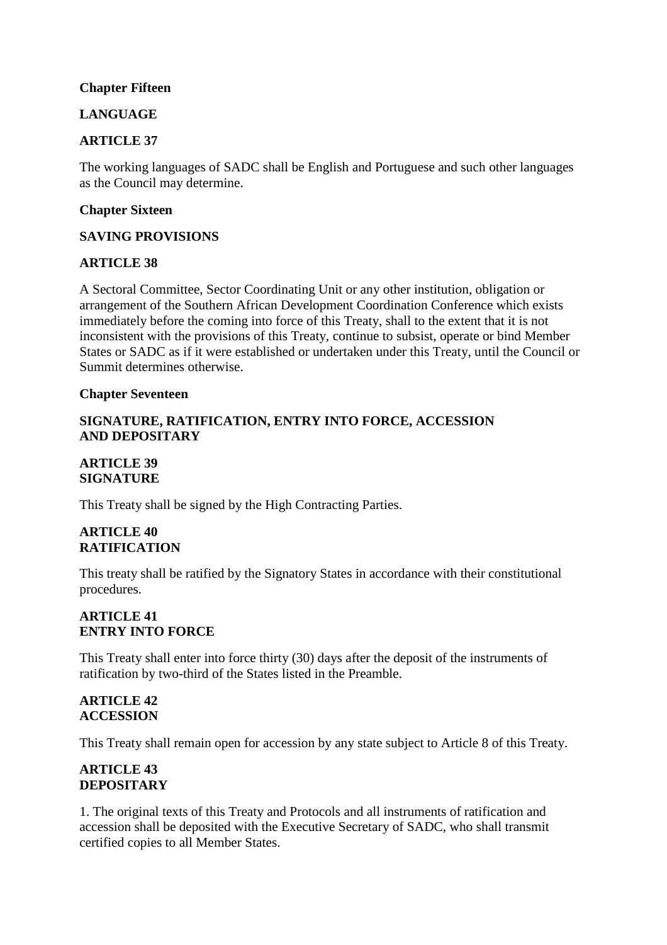## **Chapter Fifteen**

## **LANGUAGE**

## **ARTICLE 37**

The working languages of SADC shall be English and Portuguese and such other languages as the Council may determine.

#### **Chapter Sixteen**

#### **SAVING PROVISIONS**

#### **ARTICLE 38**

A Sectoral Committee, Sector Coordinating Unit or any other institution, obligation or arrangement of the Southern African Development Coordination Conference which exists immediately before the coming into force of this Treaty, shall to the extent that it is not inconsistent with the provisions of this Treaty, continue to subsist, operate or bind Member States or SADC as if it were established or undertaken under this Treaty, until the Council or Summit determines otherwise.

#### **Chapter Seventeen**

#### **SIGNATURE, RATIFICATION, ENTRY INTO FORCE, ACCESSION AND DEPOSITARY**

## **ARTICLE 39 SIGNATURE**

This Treaty shall be signed by the High Contracting Parties.

# **ARTICLE 40 RATIFICATION**

This treaty shall be ratified by the Signatory States in accordance with their constitutional procedures.

#### **ARTICLE 41 ENTRY INTO FORCE**

This Treaty shall enter into force thirty (30) days after the deposit of the instruments of ratification by two-third of the States listed in the Preamble.

#### **ARTICLE 42 ACCESSION**

This Treaty shall remain open for accession by any state subject to Article 8 of this Treaty.

## **ARTICLE 43 DEPOSITARY**

1. The original texts of this Treaty and Protocols and all instruments of ratification and accession shall be deposited with the Executive Secretary of SADC, who shall transmit certified copies to all Member States.